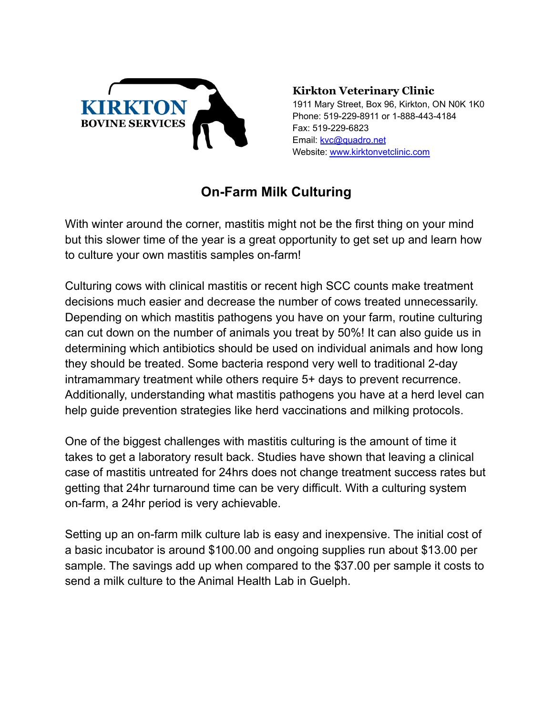

**Kirkton Veterinary Clinic**

1911 Mary Street, Box 96, Kirkton, ON N0K 1K0 Phone: 519-229-8911 or 1-888-443-4184 Fax: 519-229-6823 Email: [kvc@quadro.net](mailto:kvc@quadro.net) Website: [www.kirktonvetclinic.com](http://www.kirktonvetclinic.com)

## **On-Farm Milk Culturing**

With winter around the corner, mastitis might not be the first thing on your mind but this slower time of the year is a great opportunity to get set up and learn how to culture your own mastitis samples on-farm!

Culturing cows with clinical mastitis or recent high SCC counts make treatment decisions much easier and decrease the number of cows treated unnecessarily. Depending on which mastitis pathogens you have on your farm, routine culturing can cut down on the number of animals you treat by 50%! It can also guide us in determining which antibiotics should be used on individual animals and how long they should be treated. Some bacteria respond very well to traditional 2-day intramammary treatment while others require 5+ days to prevent recurrence. Additionally, understanding what mastitis pathogens you have at a herd level can help guide prevention strategies like herd vaccinations and milking protocols.

One of the biggest challenges with mastitis culturing is the amount of time it takes to get a laboratory result back. Studies have shown that leaving a clinical case of mastitis untreated for 24hrs does not change treatment success rates but getting that 24hr turnaround time can be very difficult. With a culturing system on-farm, a 24hr period is very achievable.

Setting up an on-farm milk culture lab is easy and inexpensive. The initial cost of a basic incubator is around \$100.00 and ongoing supplies run about \$13.00 per sample. The savings add up when compared to the \$37.00 per sample it costs to send a milk culture to the Animal Health Lab in Guelph.